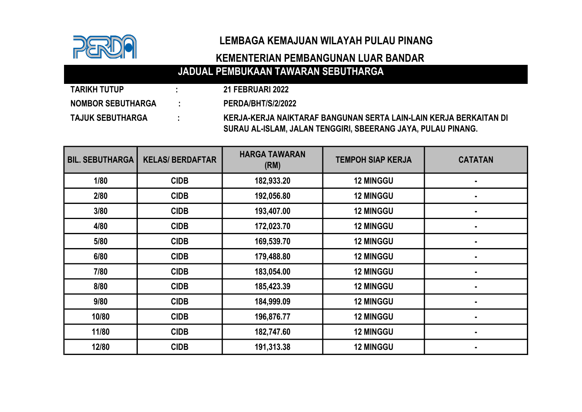

#### KEMENTERIAN PEMBANGUNAN LUAR BANDAR

### JADUAL PEMBUKAAN TAWARAN SEBUTHARGA

| <b>TARIKH TUTUP</b>      | <b>21 FEBRUARI 2022</b>                                                                                                           |
|--------------------------|-----------------------------------------------------------------------------------------------------------------------------------|
| <b>NOMBOR SEBUTHARGA</b> | <b>PERDA/BHT/S/2/2022</b>                                                                                                         |
| <b>TAJUK SEBUTHARGA</b>  | KERJA-KERJA NAIKTARAF BANGUNAN SERTA LAIN-LAIN KERJA BERKAITAN DI<br>SURAU AL-ISLAM, JALAN TENGGIRI, SBEERANG JAYA, PULAU PINANG. |

BIL. SEBUTHARGA | KELAS/ BERDAFTAR | HARGA TAWARAN TEMPOH SIAP KERJA **I** CATATAN 1/80 | CIDB | 182,933.20 | 12 MINGGU | -2/80 | CIDB | 192,056.80 | 12 MINGGU | -3/80 | CIDB | 193,407.00 | 12 MINGGU | -4/80 CIDB 172,023.70 12 MINGGU - 5/80 | CIDB | 169,539.70 | 12 MINGGU | -6/80 | CIDB | 179,488.80 | 12 MINGGU | -7/80 | CIDB | 183,054.00 | 12 MINGGU | -8/80 | CIDB | 185,423.39 | 12 MINGGU | -9/80 CIDB 184,999.09 12 MINGGU - 10/80 CIDB 196,876.77 12 MINGGU - 11/80 | CIDB | 182,747.60 | 12 MINGGU | -12/80 | CIDB | 191,313.38 | 12 MINGGU | -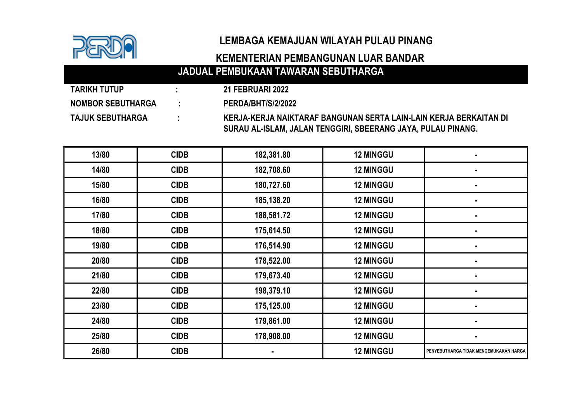

#### KEMENTERIAN PEMBANGUNAN LUAR BANDAR

# JADUAL PEMBUKAAN TAWARAN SEBUTHARGA

21 FEBRUARI 2022

PERDA/BHT/S/2/2022

| <b>TARIKH TUTUP</b>      |   |  |
|--------------------------|---|--|
| <b>NOMBOR SEBUTHARGA</b> |   |  |
| TA IIIK SFRIITHARGA      | ٠ |  |

| 13/80 | <b>CIDB</b> | 182,381.80 | <b>12 MINGGU</b> |                                        |
|-------|-------------|------------|------------------|----------------------------------------|
| 14/80 | <b>CIDB</b> | 182,708.60 | <b>12 MINGGU</b> | $\blacksquare$                         |
| 15/80 | <b>CIDB</b> | 180,727.60 | <b>12 MINGGU</b> | $\blacksquare$                         |
| 16/80 | <b>CIDB</b> | 185,138.20 | <b>12 MINGGU</b> | $\blacksquare$                         |
| 17/80 | <b>CIDB</b> | 188,581.72 | <b>12 MINGGU</b> | $\blacksquare$                         |
| 18/80 | <b>CIDB</b> | 175,614.50 | <b>12 MINGGU</b> |                                        |
| 19/80 | <b>CIDB</b> | 176,514.90 | <b>12 MINGGU</b> |                                        |
| 20/80 | <b>CIDB</b> | 178,522.00 | <b>12 MINGGU</b> | $\blacksquare$                         |
| 21/80 | <b>CIDB</b> | 179,673.40 | <b>12 MINGGU</b> | ٠                                      |
| 22/80 | <b>CIDB</b> | 198,379.10 | <b>12 MINGGU</b> |                                        |
| 23/80 | <b>CIDB</b> | 175,125.00 | <b>12 MINGGU</b> | $\blacksquare$                         |
| 24/80 | <b>CIDB</b> | 179,861.00 | <b>12 MINGGU</b> |                                        |
| 25/80 | <b>CIDB</b> | 178,908.00 | <b>12 MINGGU</b> |                                        |
| 26/80 | <b>CIDB</b> |            | <b>12 MINGGU</b> | PENYEBUTHARGA TIDAK MENGEMUKAKAN HARGA |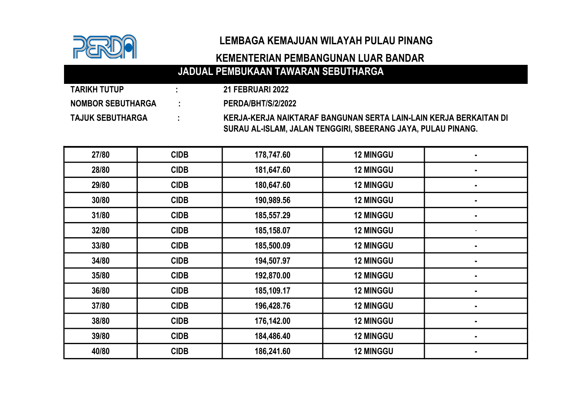

#### KEMENTERIAN PEMBANGUNAN LUAR BANDAR

# JADUAL PEMBUKAAN TAWARAN SEBUTHARGA

| <b>TARIKH TUTUP</b>      | <b>21 FEBRUARI 2022</b> |
|--------------------------|-------------------------|
| <b>NOMBOR SEBUTHARGA</b> | PERDA/BHT/S/2/2022      |
| TA.IIJK SFRIJTHARGA      | KFR.IA-KFR.IA NAIKT     |

| 27/80 | <b>CIDB</b> | 178,747.60 | <b>12 MINGGU</b> | $\blacksquare$ |
|-------|-------------|------------|------------------|----------------|
| 28/80 | <b>CIDB</b> | 181,647.60 | <b>12 MINGGU</b> | $\blacksquare$ |
| 29/80 | <b>CIDB</b> | 180,647.60 | <b>12 MINGGU</b> | $\blacksquare$ |
| 30/80 | <b>CIDB</b> | 190,989.56 | <b>12 MINGGU</b> | $\blacksquare$ |
| 31/80 | <b>CIDB</b> | 185,557.29 | <b>12 MINGGU</b> | ٠              |
| 32/80 | <b>CIDB</b> | 185,158.07 | <b>12 MINGGU</b> |                |
| 33/80 | <b>CIDB</b> | 185,500.09 | <b>12 MINGGU</b> | ٠              |
| 34/80 | <b>CIDB</b> | 194,507.97 | 12 MINGGU        | $\blacksquare$ |
| 35/80 | <b>CIDB</b> | 192,870.00 | <b>12 MINGGU</b> | $\blacksquare$ |
| 36/80 | <b>CIDB</b> | 185,109.17 | <b>12 MINGGU</b> | $\blacksquare$ |
| 37/80 | <b>CIDB</b> | 196,428.76 | <b>12 MINGGU</b> | $\blacksquare$ |
| 38/80 | <b>CIDB</b> | 176,142.00 | <b>12 MINGGU</b> | $\blacksquare$ |
| 39/80 | <b>CIDB</b> | 184,486.40 | <b>12 MINGGU</b> | ٠              |
| 40/80 | <b>CIDB</b> | 186,241.60 | <b>12 MINGGU</b> | $\blacksquare$ |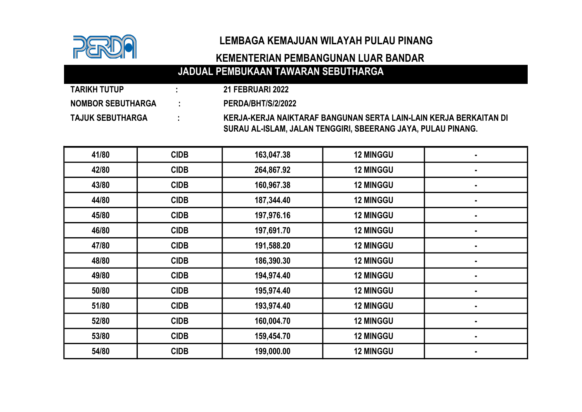

#### KEMENTERIAN PEMBANGUNAN LUAR BANDAR

# JADUAL PEMBUKAAN TAWARAN SEBUTHARGA

21 FEBRUARI 2022

PERDA/BHT/S/2/2022

| <b>TARIKH TUTUP</b>      |  |
|--------------------------|--|
| <b>NOMBOR SEBUTHARGA</b> |  |
| TA.IIJK SFRIJTHARGA      |  |

| 41/80 | <b>CIDB</b> | 163,047.38 | <b>12 MINGGU</b> | $\blacksquare$ |
|-------|-------------|------------|------------------|----------------|
| 42/80 | <b>CIDB</b> | 264,867.92 | <b>12 MINGGU</b> | $\blacksquare$ |
| 43/80 | <b>CIDB</b> | 160,967.38 | <b>12 MINGGU</b> | $\blacksquare$ |
| 44/80 | <b>CIDB</b> | 187,344.40 | <b>12 MINGGU</b> | $\blacksquare$ |
| 45/80 | <b>CIDB</b> | 197,976.16 | <b>12 MINGGU</b> | $\blacksquare$ |
| 46/80 | <b>CIDB</b> | 197,691.70 | <b>12 MINGGU</b> | $\blacksquare$ |
| 47/80 | <b>CIDB</b> | 191,588.20 | <b>12 MINGGU</b> | $\blacksquare$ |
| 48/80 | <b>CIDB</b> | 186,390.30 | <b>12 MINGGU</b> | $\blacksquare$ |
| 49/80 | <b>CIDB</b> | 194,974.40 | <b>12 MINGGU</b> | $\blacksquare$ |
| 50/80 | <b>CIDB</b> | 195,974.40 | <b>12 MINGGU</b> | $\blacksquare$ |
| 51/80 | <b>CIDB</b> | 193,974.40 | <b>12 MINGGU</b> | $\blacksquare$ |
| 52/80 | <b>CIDB</b> | 160,004.70 | <b>12 MINGGU</b> | $\blacksquare$ |
| 53/80 | <b>CIDB</b> | 159,454.70 | <b>12 MINGGU</b> | $\blacksquare$ |
| 54/80 | <b>CIDB</b> | 199,000.00 | <b>12 MINGGU</b> | $\blacksquare$ |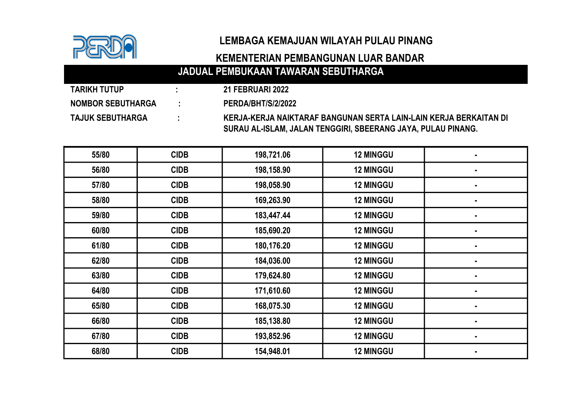

#### KEMENTERIAN PEMBANGUNAN LUAR BANDAR

# JADUAL PEMBUKAAN TAWARAN SEBUTHARGA

21 FEBRUARI 2022

PERDA/BHT/S/2/2022

| <b>TARIKH TUTUP</b>      |  |
|--------------------------|--|
| <b>NOMBOR SEBUTHARGA</b> |  |
| TA IIIK SFRIITHARGA      |  |

| 55/80 | <b>CIDB</b> | 198,721.06 | <b>12 MINGGU</b> | $\blacksquare$ |
|-------|-------------|------------|------------------|----------------|
| 56/80 | <b>CIDB</b> | 198,158.90 | <b>12 MINGGU</b> | $\blacksquare$ |
| 57/80 | <b>CIDB</b> | 198,058.90 | <b>12 MINGGU</b> | $\blacksquare$ |
| 58/80 | <b>CIDB</b> | 169,263.90 | <b>12 MINGGU</b> | $\blacksquare$ |
| 59/80 | <b>CIDB</b> | 183,447.44 | <b>12 MINGGU</b> |                |
| 60/80 | <b>CIDB</b> | 185,690.20 | <b>12 MINGGU</b> | $\blacksquare$ |
| 61/80 | <b>CIDB</b> | 180,176.20 | <b>12 MINGGU</b> | $\blacksquare$ |
| 62/80 | <b>CIDB</b> | 184,036.00 | <b>12 MINGGU</b> | $\blacksquare$ |
| 63/80 | <b>CIDB</b> | 179,624.80 | <b>12 MINGGU</b> | $\blacksquare$ |
| 64/80 | <b>CIDB</b> | 171,610.60 | <b>12 MINGGU</b> | $\blacksquare$ |
| 65/80 | <b>CIDB</b> | 168,075.30 | <b>12 MINGGU</b> | $\blacksquare$ |
| 66/80 | <b>CIDB</b> | 185,138.80 | <b>12 MINGGU</b> |                |
| 67/80 | <b>CIDB</b> | 193,852.96 | <b>12 MINGGU</b> | $\blacksquare$ |
| 68/80 | <b>CIDB</b> | 154,948.01 | <b>12 MINGGU</b> | $\blacksquare$ |